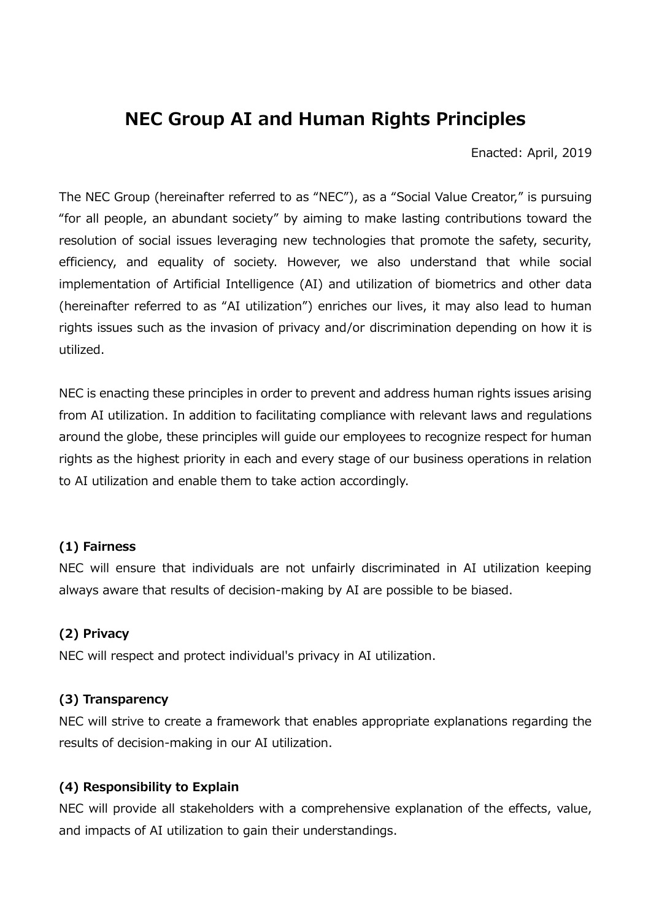# **NEC Group AI and Human Rights Principles**

Enacted: April, 2019

The NEC Group (hereinafter referred to as "NEC"), as a "Social Value Creator," is pursuing "for all people, an abundant society" by aiming to make lasting contributions toward the resolution of social issues leveraging new technologies that promote the safety, security, efficiency, and equality of society. However, we also understand that while social implementation of Artificial Intelligence (AI) and utilization of biometrics and other data (hereinafter referred to as "AI utilization") enriches our lives, it may also lead to human rights issues such as the invasion of privacy and/or discrimination depending on how it is utilized.

NEC is enacting these principles in order to prevent and address human rights issues arising from AI utilization. In addition to facilitating compliance with relevant laws and regulations around the globe, these principles will guide our employees to recognize respect for human rights as the highest priority in each and every stage of our business operations in relation to AI utilization and enable them to take action accordingly.

#### **(1) Fairness**

NEC will ensure that individuals are not unfairly discriminated in AI utilization keeping always aware that results of decision-making by AI are possible to be biased.

#### **(2) Privacy**

NEC will respect and protect individual's privacy in AI utilization.

# **(3) Transparency**

NEC will strive to create a framework that enables appropriate explanations regarding the results of decision-making in our AI utilization.

# **(4) Responsibility to Explain**

NEC will provide all stakeholders with a comprehensive explanation of the effects, value, and impacts of AI utilization to gain their understandings.